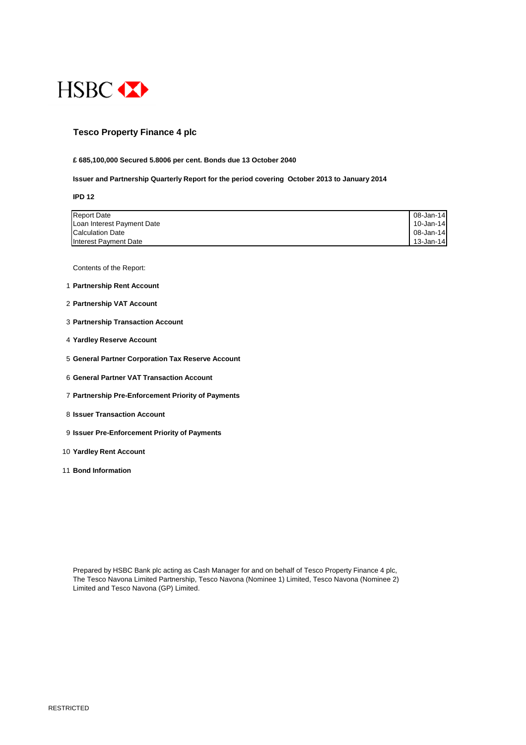RESTRICTED



### **Tesco Property Finance 4 plc**

#### **£ 685,100,000 Secured 5.8006 per cent. Bonds due 13 October 2040**

**Issuer and Partnership Quarterly Report for the period covering October 2013 to January 2014**

#### **IPD 12**

| <b>Report Date</b>         | 08-Jan-14 |
|----------------------------|-----------|
| Loan Interest Payment Date | 10-Jan-14 |
| <b>Calculation Date</b>    | 08-Jan-14 |
| Interest Payment Date      | 13-Jan-14 |

Contents of the Report:

- 1 **Partnership Rent Account**
- 2 **Partnership VAT Account**
- 3 **Partnership Transaction Account**
- 4 **Yardley Reserve Account**
- 5 **General Partner Corporation Tax Reserve Account**
- 6 **General Partner VAT Transaction Account**
- 7 **Partnership Pre-Enforcement Priority of Payments**
- 8 **Issuer Transaction Account**
- 9 **Issuer Pre-Enforcement Priority of Payments**
- 10 **Yardley Rent Account**
- 11 **Bond Information**

Prepared by HSBC Bank plc acting as Cash Manager for and on behalf of Tesco Property Finance 4 plc,

The Tesco Navona Limited Partnership, Tesco Navona (Nominee 1) Limited, Tesco Navona (Nominee 2) Limited and Tesco Navona (GP) Limited.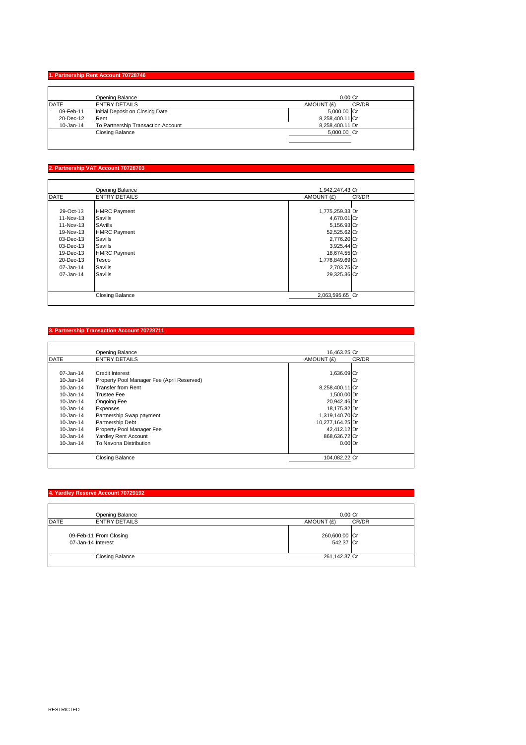## **1. Partnership Rent Account 70728746**

|             | <b>Opening Balance</b>             | $0.00$ Cr           |
|-------------|------------------------------------|---------------------|
| <b>DATE</b> | <b>ENTRY DETAILS</b>               | CR/DR<br>AMOUNT (£) |
| 09-Feb-11   | Initial Deposit on Closing Date    | 5,000.00 Cr         |
| 20-Dec-12   | Rent                               | 8,258,400.11 Cr     |
| 10-Jan-14   | To Partnership Transaction Account | 8,258,400.11 Dr     |
|             | <b>Closing Balance</b>             | 5,000.00 Cr         |
|             |                                    |                     |
|             |                                    |                     |

# **2. Partnership VAT Account 70728703**

|             | <b>Opening Balance</b> | 1,942,247.43 Cr     |
|-------------|------------------------|---------------------|
| <b>DATE</b> | <b>ENTRY DETAILS</b>   | AMOUNT (£)<br>CR/DR |
|             |                        |                     |
| 29-Oct-13   | HMRC Payment           | 1,775,259.33 Dr     |
| 11-Nov-13   | Savills                | 4,670.01 Cr         |
| 11-Nov-13   | SAvills                | 5,156.93 Cr         |
| 19-Nov-13   | <b>HMRC Payment</b>    | 52,525.62 Cr        |
| 03-Dec-13   | Savills                | 2,776.20 Cr         |
| 03-Dec-13   | Savills                | $3,925.44$ Cr       |
| 19-Dec-13   | <b>HMRC Payment</b>    | 18,674.55 Cr        |
| 20-Dec-13   | Tesco                  | 1,776,849.69 Cr     |
| 07-Jan-14   | Savills                | 2,703.75 Cr         |
| 07-Jan-14   | Savills                | 29,325.36 Cr        |
|             |                        |                     |
|             | <b>Closing Balance</b> | 2,063,595.65 Cr     |

# **3. Partnership Transaction Account 70728711**

|               | <b>Opening Balance</b>                     | 16,463.25 Cr        |  |
|---------------|--------------------------------------------|---------------------|--|
| <b>DATE</b>   | <b>ENTRY DETAILS</b>                       | CR/DR<br>AMOUNT (£) |  |
|               |                                            |                     |  |
| 07-Jan-14     | Credit Interest                            | 1,636.09 Cr         |  |
| $10 - Jan-14$ | Property Pool Manager Fee (April Reserved) | ICr                 |  |
| $10 - Jan-14$ | <b>Transfer from Rent</b>                  | 8,258,400.11 Cr     |  |
| $10 - Jan-14$ | <b>Trustee Fee</b>                         | 1,500.00 Dr         |  |
| $10 - Jan-14$ | <b>Ongoing Fee</b>                         | 20,942.46 Dr        |  |
| $10 - Jan-14$ | <b>Expenses</b>                            | 18,175.82 Dr        |  |
| 10-Jan-14     | Partnership Swap payment                   | 1,319,140.70 Cr     |  |
| $10 - Jan-14$ | <b>Partnership Debt</b>                    | 10,277,164.25 Dr    |  |
| $10 - Jan-14$ | <b>Property Pool Manager Fee</b>           | 42,412.12 Dr        |  |
| $10 - Jan-14$ | <b>Yardley Rent Account</b>                | 868,636.72 Cr       |  |
| $10 - Jan-14$ | <b>To Navona Distribution</b>              | $0.00$ Dr           |  |

| Closing<br>Balance<br>$\sim$ $\sim$ | 104,082.22<br>انا 27. <u>؛</u> | $\sim$ |
|-------------------------------------|--------------------------------|--------|
|                                     |                                |        |

## **4. Yardley Reserve Account 70729192**

| <b>Opening Balance</b> | $0.00$ Cr     |
|------------------------|---------------|
| DATE                   | AMOUNT (£)    |
| <b>ENTRY DETAILS</b>   | CR/DR         |
| 09-Feb-11 From Closing | 260,600.00 Cr |
| 07-Jan-14 Interest     | 542.37 Cr     |
| <b>Closing Balance</b> | 261,142.37 Cr |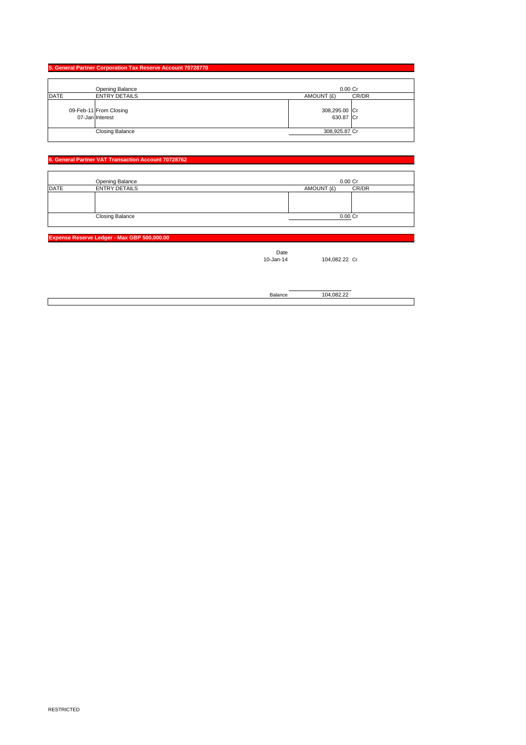RESTRICTED

### **5. General Partner Corporation Tax Reserve Account 70728770**

|             | <b>Opening Balance</b> |            | 0.00 Cr |
|-------------|------------------------|------------|---------|
| <b>DATE</b> | <b>ENTRY DETAILS</b>   | AMOUNT (£) | CR/DR   |
|             |                        |            |         |
|             |                        |            |         |
|             |                        |            |         |
|             | <b>Closing Balance</b> |            | 0.00 Cr |
|             |                        |            |         |

|      | <b>Opening Balance</b>                    | $0.00$ Cr                  |       |
|------|-------------------------------------------|----------------------------|-------|
| DATE | <b>ENTRY DETAILS</b>                      | AMOUNT (£)                 | CR/DR |
|      | 09-Feb-11 From Closing<br>07-Jan Interest | 308,295.00 Cr<br>630.87 Cr |       |
|      | <b>Closing Balance</b>                    | 308,925.87 Cr              |       |

#### **6. General Partner VAT Transaction Account 70728762**

**Expense Reserve Ledger - Max GBP 500,000.00**

| Date<br>10-Jan-14 | 104,082.22 Cr |  |
|-------------------|---------------|--|
| Balance           | 104,082.22    |  |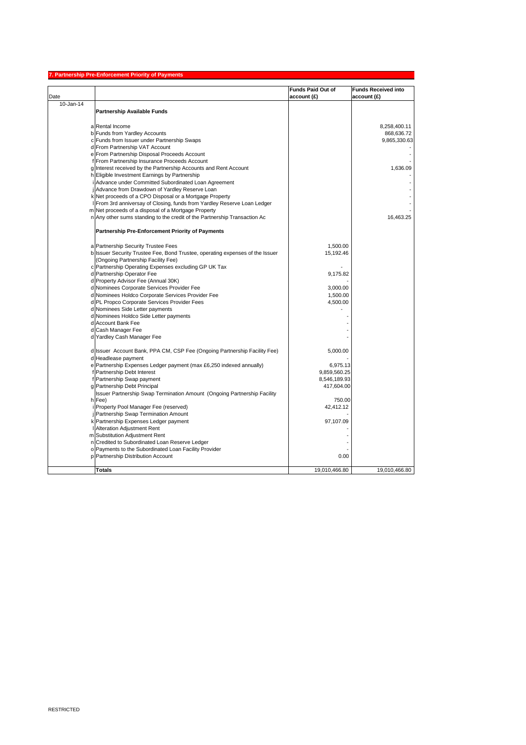RESTRICTED

# **7. Partnership Pre-Enforcement Priority of Payments**

|               |                                                                               | <b>Funds Paid Out of</b> | <b>Funds Received into</b> |
|---------------|-------------------------------------------------------------------------------|--------------------------|----------------------------|
| Date          |                                                                               | $ $ account $(E)$        | account(E)                 |
| $10 - Jan-14$ |                                                                               |                          |                            |
|               | <b>Partnership Available Funds</b>                                            |                          |                            |
|               |                                                                               |                          |                            |
|               | a Rental Income                                                               |                          | 8,258,400.11               |
|               | b Funds from Yardley Accounts                                                 |                          | 868,636.72                 |
|               | c Funds from Issuer under Partnership Swaps                                   |                          | 9,865,330.63               |
|               | d From Partnership VAT Account                                                |                          |                            |
|               | e From Partnership Disposal Proceeds Account                                  |                          |                            |
|               | f From Partnership Insurance Proceeds Account                                 |                          |                            |
|               | g Interest received by the Partnership Accounts and Rent Account              |                          | 1,636.09                   |
|               | h Eligible Investment Earnings by Partnership                                 |                          |                            |
|               | i Advance under Committed Subordinated Loan Agreement                         |                          |                            |
|               | jAdvance from Drawdown of Yardley Reserve Loan                                |                          |                            |
|               | k Net proceeds of a CPO Disposal or a Mortgage Property                       |                          |                            |
|               | I From 3rd anniversay of Closing, funds from Yardley Reserve Loan Ledger      |                          |                            |
|               | m Net proceeds of a disposal of a Mortgage Property                           |                          |                            |
|               | n Any other sums standing to the credit of the Partnership Transaction Ac     |                          | 16,463.25                  |
|               | <b>Partnership Pre-Enforcement Priority of Payments</b>                       |                          |                            |
|               | a Partnership Security Trustee Fees                                           | 1,500.00                 |                            |
|               | b Issuer Security Trustee Fee, Bond Trustee, operating expenses of the Issuer | 15,192.46                |                            |
|               | (Ongoing Partnership Facility Fee)                                            |                          |                            |
|               | c Partnership Operating Expenses excluding GP UK Tax                          |                          |                            |
|               | d Partnership Operator Fee                                                    | 9,175.82                 |                            |
|               | d Property Advisor Fee (Annual 30K)                                           |                          |                            |
|               | d Nominees Corporate Services Provider Fee                                    | 3,000.00                 |                            |
|               | d Nominees Holdco Corporate Services Provider Fee                             | 1,500.00                 |                            |
|               | d PL Propco Corporate Services Provider Fees                                  | 4,500.00                 |                            |
|               | d Nominees Side Letter payments                                               |                          |                            |
|               | d Nominees Holdco Side Letter payments                                        |                          |                            |
|               | d Account Bank Fee                                                            |                          |                            |
|               | d Cash Manager Fee                                                            |                          |                            |
|               | d Yardley Cash Manager Fee                                                    |                          |                            |
|               | d Issuer Account Bank, PPA CM, CSP Fee (Ongoing Partnership Facility Fee)     | 5,000.00                 |                            |
|               | d Headlease payment                                                           |                          |                            |
|               | e Partnership Expenses Ledger payment (max £6,250 indexed annually)           | 6,975.13                 |                            |
|               | f Partnership Debt Interest                                                   | 9,859,560.25             |                            |
|               | f Partnership Swap payment                                                    | 8,546,189.93             |                            |
|               | g Partnership Debt Principal                                                  | 417,604.00               |                            |
|               | Issuer Partnership Swap Termination Amount (Ongoing Partnership Facility      |                          |                            |
|               | $h$ Fee)                                                                      | 750.00                   |                            |
|               | i Property Pool Manager Fee (reserved)                                        | 42,412.12                |                            |
|               | <b>Partnership Swap Termination Amount</b>                                    |                          |                            |
|               | k Partnership Expenses Ledger payment                                         | 97,107.09                |                            |
|               | <b>I</b> Alteration Adjustment Rent                                           |                          |                            |
|               | m Substitution Adjustment Rent                                                |                          |                            |
|               | n Credited to Subordinated Loan Reserve Ledger                                |                          |                            |
|               | o Payments to the Subordinated Loan Facility Provider                         |                          |                            |
|               | p Partnership Distribution Account                                            | 0.00                     |                            |
|               |                                                                               |                          |                            |
|               | <b>Totals</b>                                                                 | 19,010,466.80            | 19,010,466.80              |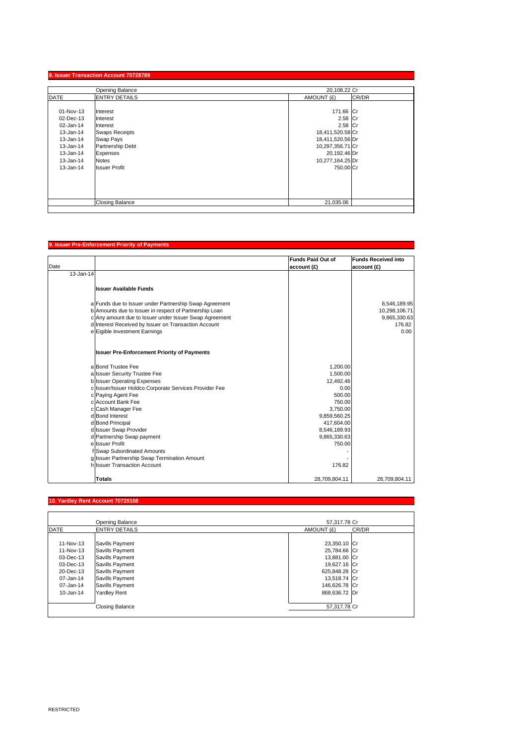# **8. Issuer Transaction Account 70728789**

|               | <b>Opening Balance</b> | 20,108.22 Cr     |       |
|---------------|------------------------|------------------|-------|
| <b>DATE</b>   | <b>ENTRY DETAILS</b>   | AMOUNT (£)       | CR/DR |
|               |                        |                  |       |
| 01-Nov-13     | Interest               | 171.66 Cr        |       |
| 02-Dec-13     | Interest               | $2.58$ Cr        |       |
| 02-Jan-14     | Interest               | $2.58$ Cr        |       |
| $13 - Jan-14$ | <b>Swaps Receipts</b>  | 18,411,520.58 Cr |       |
| $13 - Jan-14$ | <b>Swap Pays</b>       | 18,411,520.56 Dr |       |
| 13-Jan-14     | Partnership Debt       | 10,297,356.71 Cr |       |
| 13-Jan-14     | Expenses               | 20,192.46 Dr     |       |
| $13 - Jan-14$ | <b>Notes</b>           | 10,277,164.25 Dr |       |
| 13-Jan-14     | <b>Issuer Profit</b>   | 750.00 Cr        |       |
|               |                        |                  |       |
|               |                        |                  |       |
|               |                        |                  |       |
|               |                        |                  |       |
|               | <b>Closing Balance</b> | 21,035.06        |       |
|               |                        |                  |       |

## **9. Issuer Pre-Enforcement Priority of Payments**

| Date      |                                                                                                                  | <b>Funds Paid Out of</b><br>account(E) | <b>Funds Received into</b><br>account(E) |
|-----------|------------------------------------------------------------------------------------------------------------------|----------------------------------------|------------------------------------------|
| 13-Jan-14 |                                                                                                                  |                                        |                                          |
|           | <b>Issuer Available Funds</b>                                                                                    |                                        |                                          |
|           | a Funds due to Issuer under Partnership Swap Agreement<br>b Amounts due to Issuer in respect of Partnership Loan |                                        | 8,546,189.95<br>10,298,106.71            |
|           | c Any amount due to Issuer under Issuer Swap Agreement                                                           |                                        | 9,865,330.63                             |
|           | d Interest Received by Issuer on Transaction Account                                                             |                                        | 176.82                                   |
|           | e Eigible Investment Earnings                                                                                    |                                        | 0.00                                     |
|           | <b>Issuer Pre-Enforcement Priority of Payments</b>                                                               |                                        |                                          |
|           | a Bond Trustee Fee                                                                                               | 1,200.00                               |                                          |
|           | a Issuer Security Trustee Fee                                                                                    | 1,500.00                               |                                          |
|           | b Issuer Operating Expenses                                                                                      | 12,492.46                              |                                          |
|           | c Issuer/Issuer Holdco Corporate Services Provider Fee                                                           | 0.00                                   |                                          |
|           | c Paying Agent Fee                                                                                               | 500.00                                 |                                          |
|           | c Account Bank Fee                                                                                               | 750.00                                 |                                          |
|           | c Cash Manager Fee                                                                                               | 3,750.00                               |                                          |
|           | d Bond Interest                                                                                                  | 9,859,560.25                           |                                          |
|           | d Bond Principal                                                                                                 | 417,604.00                             |                                          |
|           | d Issuer Swap Provider                                                                                           | 8,546,189.93                           |                                          |
|           | d Partnership Swap payment<br>ellssuer Profit                                                                    | 9,865,330.63<br>750.00                 |                                          |
|           | f Swap Subordinated Amounts                                                                                      |                                        |                                          |
|           | g Issuer Partnership Swap Termination Amount                                                                     |                                        |                                          |
|           | h Issuer Transaction Account                                                                                     | 176.82                                 |                                          |
|           | <b>Totals</b>                                                                                                    | 28,709,804.11                          | 28,709,804.11                            |

## **10. Yardley Rent Account 70729168**

|               | <b>Opening Balance</b> | 57,317.78 Cr        |  |
|---------------|------------------------|---------------------|--|
| <b>DATE</b>   | <b>ENTRY DETAILS</b>   | AMOUNT (£)<br>CR/DR |  |
|               |                        |                     |  |
| 11-Nov-13     | Savills Payment        | 23,350.10 Cr        |  |
| 11-Nov-13     | Savills Payment        | 25,784.66 Cr        |  |
| 03-Dec-13     | Savills Payment        | 13,881.00 Cr        |  |
| 03-Dec-13     | Savills Payment        | 19,627.16 Cr        |  |
| 20-Dec-13     | Savills Payment        | 625,848.28 Cr       |  |
| 07-Jan-14     | Savills Payment        | 13,518.74 Cr        |  |
| 07-Jan-14     | Savills Payment        | 146,626.78 Cr       |  |
| $10 - Jan-14$ | <b>Yardley Rent</b>    | 868,636.72 Dr       |  |
|               |                        |                     |  |
|               | <b>Closing Balance</b> | 57,317.78 Cr        |  |